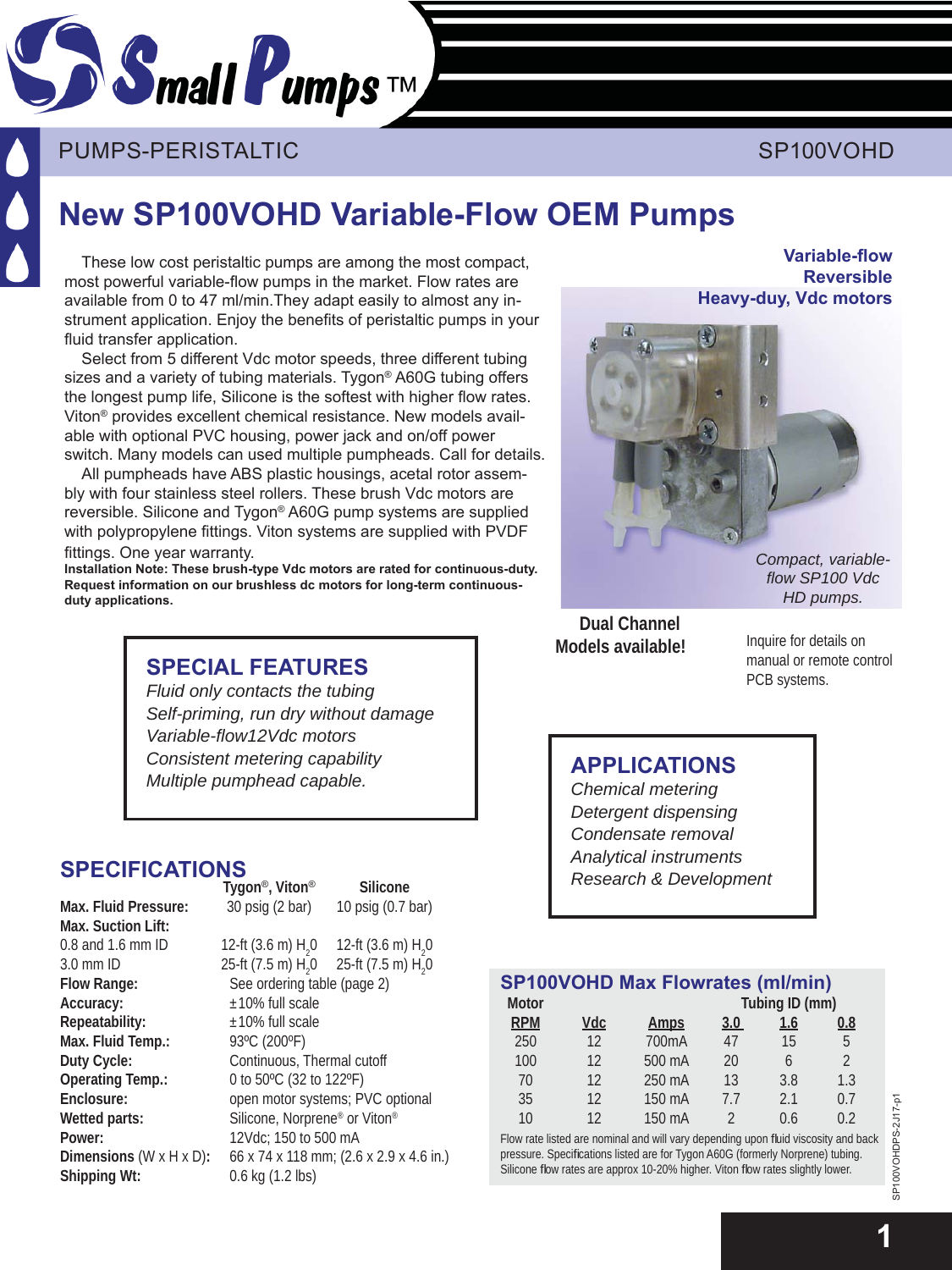

## PUMPS-PERISTALTIC AND INTERNATIONAL SP100VOHD

# **New SP100VOHD Variable-Flow OEM Pumps**

These low cost peristaltic pumps are among the most compact, most powerful variable-flow pumps in the market. Flow rates are available from 0 to 47 ml/min.They adapt easily to almost any instrument application. Enjoy the benefits of peristaltic pumps in your fluid transfer application.

Select from 5 different Vdc motor speeds, three different tubing sizes and a variety of tubing materials. Tygon® A60G tubing offers the longest pump life, Silicone is the softest with higher flow rates. Viton® provides excellent chemical resistance. New models available with optional PVC housing, power jack and on/off power switch. Many models can used multiple pumpheads. Call for details.

All pumpheads have ABS plastic housings, acetal rotor assembly with four stainless steel rollers. These brush Vdc motors are reversible. Silicone and Tygon® A60G pump systems are supplied with polypropylene fittings. Viton systems are supplied with PVDF fittings. One year warranty.

**Installation Note: These brush-type Vdc motors are rated for continuous-duty. Request information on our brushless dc motors for long-term continuous**duty applications.

## **SPE CIAL FEATURES**

*Fluid only contacts the tubing Self-priming, run dry without damage Variable-fl ow12Vdc motors Consistent metering capability Multiple pumphead capable.*

# **SPECIFICATIONS**

|                                      | Tygon <sup>®</sup> , Viton <sup>®</sup>  | Silicone                                 |  |  |
|--------------------------------------|------------------------------------------|------------------------------------------|--|--|
| Max. Fluid Pressure:                 | 30 psig (2 bar)                          | 10 psig (0.7 bar)                        |  |  |
| Max. Suction Lift:                   |                                          |                                          |  |  |
| 0.8 and 1.6 mm ID                    | 12-ft $(3.6 \text{ m})$ H <sub>2</sub> 0 | 12-ft $(3.6 \text{ m})$ H <sub>2</sub> 0 |  |  |
| $3.0$ mm ID                          | 25-ft $(7.5 \text{ m}) \text{ H}20$      | 25-ft (7.5 m) H <sub>2</sub> 0           |  |  |
| Flow Range:                          | See ordering table (page 2)              |                                          |  |  |
| Accuracy:                            | $\pm 10\%$ full scale                    |                                          |  |  |
| Repeatability:                       | $\pm$ 10% full scale                     |                                          |  |  |
| Max. Fluid Temp.:                    | 93°C (200°F)                             |                                          |  |  |
| Duty Cycle:                          | Continuous, Thermal cutoff               |                                          |  |  |
| Operating Temp.:                     | 0 to 50°C (32 to 122°F)                  |                                          |  |  |
| Enclosure:                           | open motor systems; PVC optional         |                                          |  |  |
| Wetted parts:                        | Silicone, Norprene® or Viton®            |                                          |  |  |
| Power:                               | 12Vdc; 150 to 500 mA                     |                                          |  |  |
| Dimensions $(W \times H \times D)$ : | 66 x 74 x 118 mm; (2.6 x 2.9 x 4.6 in.)  |                                          |  |  |
| Shipping Wt:                         | 0.6 kg (1.2 lbs)                         |                                          |  |  |

**Variable-fl ow Reversible Heavy-duy, Vdc motors**



*Compact, variablefl ow SP100 Vdc HD pumps.*

**Dual Channel Models available!**

Inquire for details on manual or remote control PCB systems.

### **APPLICATIONS**

*Chemical metering Detergent dispensing Condensate removal Analytical instruments Research & Development*

| <b>SP100VOHD Max Flowrates (ml/min)</b> |     |                                                                                   |                |     |                |  |  |
|-----------------------------------------|-----|-----------------------------------------------------------------------------------|----------------|-----|----------------|--|--|
| <b>Motor</b>                            |     | Tubing ID (mm)                                                                    |                |     |                |  |  |
| <b>RPM</b>                              | Vdc | <u>Amps</u>                                                                       | 3.0            | 1.6 | 0.8            |  |  |
| 250                                     | 12  | 700mA                                                                             | 47             | 15  | 5              |  |  |
| 100                                     | 12  | 500 mA                                                                            | 20             | 6   | $\overline{2}$ |  |  |
| 70                                      | 12  | 250 mA                                                                            | 13             | 3.8 | 1.3            |  |  |
| 35                                      | 12  | 150 mA                                                                            | 77             | 2.1 | 0.7            |  |  |
| 10                                      | 12  | 150 mA                                                                            | $\mathfrak{D}$ | 0.6 | 0.2            |  |  |
|                                         |     | Flow rate listed are nominal and will you depending upon fluid viccosity and basi |                |     |                |  |  |

iow rate listed are nominal and will vary depending upon fluid viscosi pressure. Specifications listed are for Tygon A60G (formerly Norprene) tubing. Silicone flow rates are approx 10-20% higher. Viton flow rates slightly lower.

SP100VOHDPS-2J17-p1 SP100VOHDPS-2J17-p1